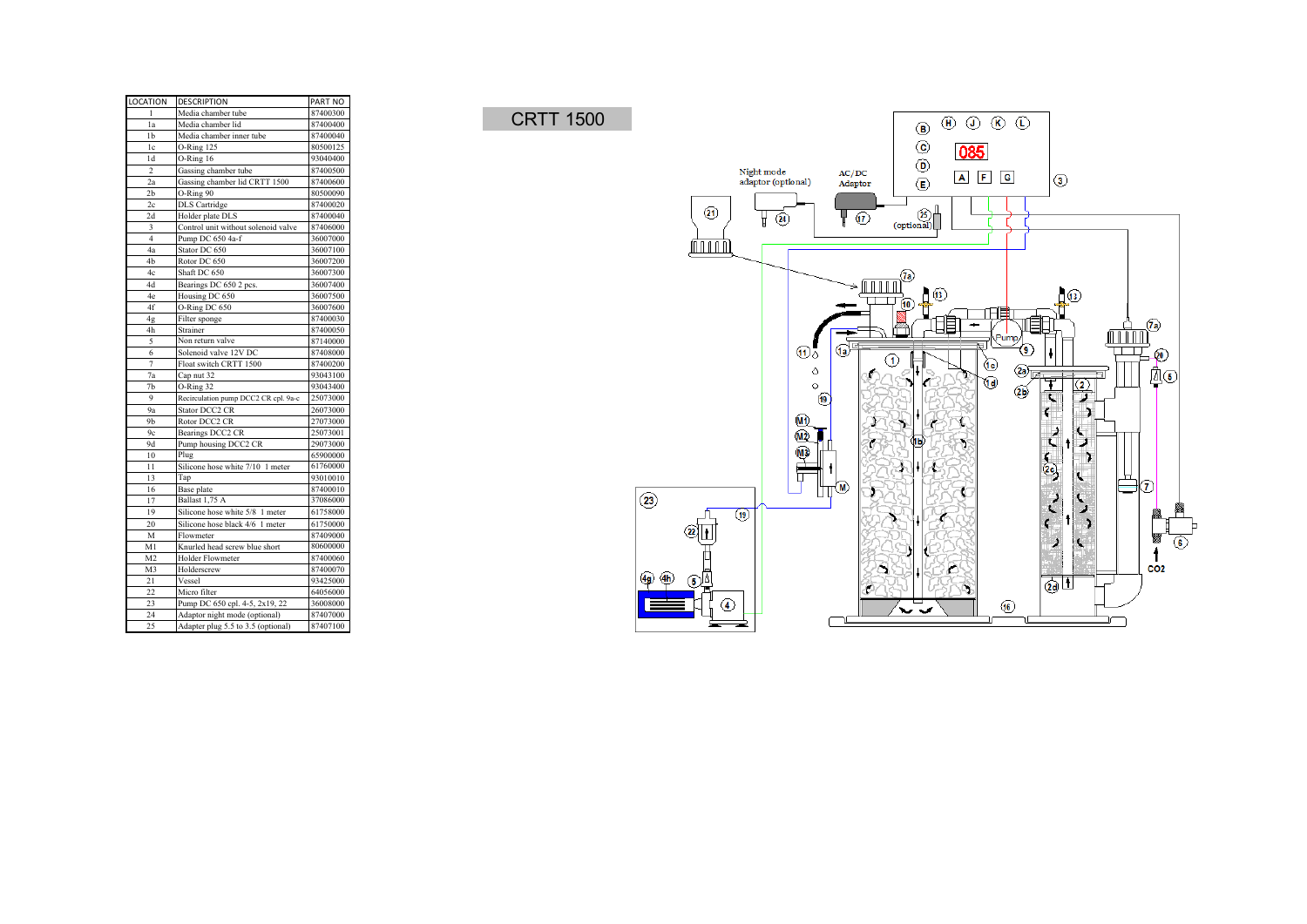| LOCATION<br><b>DESCRIPTION</b><br>PART NO<br>Media chamber tube<br>87400300<br>1<br>Media chamber lid<br>1a<br>87400400<br>Media chamber inner tube<br>1 <sub>b</sub><br>87400040<br>1c<br><b>O-Ring 125</b><br>80500125<br>1d<br>O-Ring 16<br>93040400<br>$\overline{c}$<br>Gassing chamber tube<br>87400500<br>Gassing chamber lid CRTT 1500<br>87400600<br>2a<br>2 <sub>b</sub><br>O-Ring 90<br>80500090<br><b>DLS</b> Cartridge<br>2c<br>87400020<br>Holder plate DLS<br>2d<br>87400040<br>Control unit without solenoid valve<br>3<br>87406000<br>Pump DC 650 4a-f<br>36007000<br>4<br>Stator DC 650<br>4a<br>36007100<br>Rotor DC 650<br>4b<br>36007200<br>4c<br>Shaft DC 650<br>36007300<br>4d<br>Bearings DC 650 2 pcs.<br>36007400<br>4e<br>Housing DC 650<br>36007500<br>4f<br>O-Ring DC 650<br>36007600<br>Filter sponge<br>87400030<br>4g<br>4h<br>Strainer<br>87400050<br>Non return valve<br>5<br>87140000<br>Solenoid valve 12V DC<br>6<br>87408000<br>$\overline{7}$<br>Float switch CRTT 1500<br>87400200<br>Cap nut 32<br>93043100<br>7а<br>O-Ring 32<br>7 <sub>b</sub><br>93043400<br>9<br>Recirculation pump DCC2 CR cpl. 9a-c<br>25073000<br>Stator DCC2 CR<br>9a<br>26073000<br>Rotor DCC2 CR<br>9b<br>27073000<br>Bearings DCC2 CR<br>25073001<br>9c<br>9d<br>Pump housing DCC2 CR<br>29073000<br>Plug<br>10<br>65900000<br>Silicone hose white 7/10 1 meter<br>61760000<br>11<br>Tap<br>13<br>93010010<br>16<br>Base plate<br>87400010<br>Ballast 1,75 A<br>37086000<br>17<br>Silicone hose white 5/8 1 meter<br>19<br>61758000<br>20<br>Silicone hose black 4/6 1 meter<br>61750000<br>M<br>Flowmeter<br>87409000<br>80600000<br>M1<br>Knurled head screw blue short<br>87400060<br>M <sub>2</sub><br><b>Holder Flowmeter</b><br>M3<br>Holderscrew<br>87400070<br>21<br>Vessel<br>93425000<br>22<br>Micro filter<br>64056000<br>23<br>Pump DC 650 cpl. 4-5, 2x19, 22<br>36008000<br>Adaptor night mode (optional)<br>24<br>87407000<br>25<br>87407100<br>Adapter plug 5.5 to 3.5 (optional) |  |  |
|----------------------------------------------------------------------------------------------------------------------------------------------------------------------------------------------------------------------------------------------------------------------------------------------------------------------------------------------------------------------------------------------------------------------------------------------------------------------------------------------------------------------------------------------------------------------------------------------------------------------------------------------------------------------------------------------------------------------------------------------------------------------------------------------------------------------------------------------------------------------------------------------------------------------------------------------------------------------------------------------------------------------------------------------------------------------------------------------------------------------------------------------------------------------------------------------------------------------------------------------------------------------------------------------------------------------------------------------------------------------------------------------------------------------------------------------------------------------------------------------------------------------------------------------------------------------------------------------------------------------------------------------------------------------------------------------------------------------------------------------------------------------------------------------------------------------------------------------------------------------------------------------------------------------------------------------------------------------------------------------------------------------|--|--|
|                                                                                                                                                                                                                                                                                                                                                                                                                                                                                                                                                                                                                                                                                                                                                                                                                                                                                                                                                                                                                                                                                                                                                                                                                                                                                                                                                                                                                                                                                                                                                                                                                                                                                                                                                                                                                                                                                                                                                                                                                      |  |  |
|                                                                                                                                                                                                                                                                                                                                                                                                                                                                                                                                                                                                                                                                                                                                                                                                                                                                                                                                                                                                                                                                                                                                                                                                                                                                                                                                                                                                                                                                                                                                                                                                                                                                                                                                                                                                                                                                                                                                                                                                                      |  |  |
|                                                                                                                                                                                                                                                                                                                                                                                                                                                                                                                                                                                                                                                                                                                                                                                                                                                                                                                                                                                                                                                                                                                                                                                                                                                                                                                                                                                                                                                                                                                                                                                                                                                                                                                                                                                                                                                                                                                                                                                                                      |  |  |
|                                                                                                                                                                                                                                                                                                                                                                                                                                                                                                                                                                                                                                                                                                                                                                                                                                                                                                                                                                                                                                                                                                                                                                                                                                                                                                                                                                                                                                                                                                                                                                                                                                                                                                                                                                                                                                                                                                                                                                                                                      |  |  |
|                                                                                                                                                                                                                                                                                                                                                                                                                                                                                                                                                                                                                                                                                                                                                                                                                                                                                                                                                                                                                                                                                                                                                                                                                                                                                                                                                                                                                                                                                                                                                                                                                                                                                                                                                                                                                                                                                                                                                                                                                      |  |  |
|                                                                                                                                                                                                                                                                                                                                                                                                                                                                                                                                                                                                                                                                                                                                                                                                                                                                                                                                                                                                                                                                                                                                                                                                                                                                                                                                                                                                                                                                                                                                                                                                                                                                                                                                                                                                                                                                                                                                                                                                                      |  |  |
|                                                                                                                                                                                                                                                                                                                                                                                                                                                                                                                                                                                                                                                                                                                                                                                                                                                                                                                                                                                                                                                                                                                                                                                                                                                                                                                                                                                                                                                                                                                                                                                                                                                                                                                                                                                                                                                                                                                                                                                                                      |  |  |
|                                                                                                                                                                                                                                                                                                                                                                                                                                                                                                                                                                                                                                                                                                                                                                                                                                                                                                                                                                                                                                                                                                                                                                                                                                                                                                                                                                                                                                                                                                                                                                                                                                                                                                                                                                                                                                                                                                                                                                                                                      |  |  |
|                                                                                                                                                                                                                                                                                                                                                                                                                                                                                                                                                                                                                                                                                                                                                                                                                                                                                                                                                                                                                                                                                                                                                                                                                                                                                                                                                                                                                                                                                                                                                                                                                                                                                                                                                                                                                                                                                                                                                                                                                      |  |  |
|                                                                                                                                                                                                                                                                                                                                                                                                                                                                                                                                                                                                                                                                                                                                                                                                                                                                                                                                                                                                                                                                                                                                                                                                                                                                                                                                                                                                                                                                                                                                                                                                                                                                                                                                                                                                                                                                                                                                                                                                                      |  |  |
|                                                                                                                                                                                                                                                                                                                                                                                                                                                                                                                                                                                                                                                                                                                                                                                                                                                                                                                                                                                                                                                                                                                                                                                                                                                                                                                                                                                                                                                                                                                                                                                                                                                                                                                                                                                                                                                                                                                                                                                                                      |  |  |
|                                                                                                                                                                                                                                                                                                                                                                                                                                                                                                                                                                                                                                                                                                                                                                                                                                                                                                                                                                                                                                                                                                                                                                                                                                                                                                                                                                                                                                                                                                                                                                                                                                                                                                                                                                                                                                                                                                                                                                                                                      |  |  |
|                                                                                                                                                                                                                                                                                                                                                                                                                                                                                                                                                                                                                                                                                                                                                                                                                                                                                                                                                                                                                                                                                                                                                                                                                                                                                                                                                                                                                                                                                                                                                                                                                                                                                                                                                                                                                                                                                                                                                                                                                      |  |  |
|                                                                                                                                                                                                                                                                                                                                                                                                                                                                                                                                                                                                                                                                                                                                                                                                                                                                                                                                                                                                                                                                                                                                                                                                                                                                                                                                                                                                                                                                                                                                                                                                                                                                                                                                                                                                                                                                                                                                                                                                                      |  |  |
|                                                                                                                                                                                                                                                                                                                                                                                                                                                                                                                                                                                                                                                                                                                                                                                                                                                                                                                                                                                                                                                                                                                                                                                                                                                                                                                                                                                                                                                                                                                                                                                                                                                                                                                                                                                                                                                                                                                                                                                                                      |  |  |
|                                                                                                                                                                                                                                                                                                                                                                                                                                                                                                                                                                                                                                                                                                                                                                                                                                                                                                                                                                                                                                                                                                                                                                                                                                                                                                                                                                                                                                                                                                                                                                                                                                                                                                                                                                                                                                                                                                                                                                                                                      |  |  |
|                                                                                                                                                                                                                                                                                                                                                                                                                                                                                                                                                                                                                                                                                                                                                                                                                                                                                                                                                                                                                                                                                                                                                                                                                                                                                                                                                                                                                                                                                                                                                                                                                                                                                                                                                                                                                                                                                                                                                                                                                      |  |  |
|                                                                                                                                                                                                                                                                                                                                                                                                                                                                                                                                                                                                                                                                                                                                                                                                                                                                                                                                                                                                                                                                                                                                                                                                                                                                                                                                                                                                                                                                                                                                                                                                                                                                                                                                                                                                                                                                                                                                                                                                                      |  |  |
|                                                                                                                                                                                                                                                                                                                                                                                                                                                                                                                                                                                                                                                                                                                                                                                                                                                                                                                                                                                                                                                                                                                                                                                                                                                                                                                                                                                                                                                                                                                                                                                                                                                                                                                                                                                                                                                                                                                                                                                                                      |  |  |
|                                                                                                                                                                                                                                                                                                                                                                                                                                                                                                                                                                                                                                                                                                                                                                                                                                                                                                                                                                                                                                                                                                                                                                                                                                                                                                                                                                                                                                                                                                                                                                                                                                                                                                                                                                                                                                                                                                                                                                                                                      |  |  |
|                                                                                                                                                                                                                                                                                                                                                                                                                                                                                                                                                                                                                                                                                                                                                                                                                                                                                                                                                                                                                                                                                                                                                                                                                                                                                                                                                                                                                                                                                                                                                                                                                                                                                                                                                                                                                                                                                                                                                                                                                      |  |  |
|                                                                                                                                                                                                                                                                                                                                                                                                                                                                                                                                                                                                                                                                                                                                                                                                                                                                                                                                                                                                                                                                                                                                                                                                                                                                                                                                                                                                                                                                                                                                                                                                                                                                                                                                                                                                                                                                                                                                                                                                                      |  |  |
|                                                                                                                                                                                                                                                                                                                                                                                                                                                                                                                                                                                                                                                                                                                                                                                                                                                                                                                                                                                                                                                                                                                                                                                                                                                                                                                                                                                                                                                                                                                                                                                                                                                                                                                                                                                                                                                                                                                                                                                                                      |  |  |
|                                                                                                                                                                                                                                                                                                                                                                                                                                                                                                                                                                                                                                                                                                                                                                                                                                                                                                                                                                                                                                                                                                                                                                                                                                                                                                                                                                                                                                                                                                                                                                                                                                                                                                                                                                                                                                                                                                                                                                                                                      |  |  |
|                                                                                                                                                                                                                                                                                                                                                                                                                                                                                                                                                                                                                                                                                                                                                                                                                                                                                                                                                                                                                                                                                                                                                                                                                                                                                                                                                                                                                                                                                                                                                                                                                                                                                                                                                                                                                                                                                                                                                                                                                      |  |  |
|                                                                                                                                                                                                                                                                                                                                                                                                                                                                                                                                                                                                                                                                                                                                                                                                                                                                                                                                                                                                                                                                                                                                                                                                                                                                                                                                                                                                                                                                                                                                                                                                                                                                                                                                                                                                                                                                                                                                                                                                                      |  |  |
|                                                                                                                                                                                                                                                                                                                                                                                                                                                                                                                                                                                                                                                                                                                                                                                                                                                                                                                                                                                                                                                                                                                                                                                                                                                                                                                                                                                                                                                                                                                                                                                                                                                                                                                                                                                                                                                                                                                                                                                                                      |  |  |
|                                                                                                                                                                                                                                                                                                                                                                                                                                                                                                                                                                                                                                                                                                                                                                                                                                                                                                                                                                                                                                                                                                                                                                                                                                                                                                                                                                                                                                                                                                                                                                                                                                                                                                                                                                                                                                                                                                                                                                                                                      |  |  |
|                                                                                                                                                                                                                                                                                                                                                                                                                                                                                                                                                                                                                                                                                                                                                                                                                                                                                                                                                                                                                                                                                                                                                                                                                                                                                                                                                                                                                                                                                                                                                                                                                                                                                                                                                                                                                                                                                                                                                                                                                      |  |  |
|                                                                                                                                                                                                                                                                                                                                                                                                                                                                                                                                                                                                                                                                                                                                                                                                                                                                                                                                                                                                                                                                                                                                                                                                                                                                                                                                                                                                                                                                                                                                                                                                                                                                                                                                                                                                                                                                                                                                                                                                                      |  |  |
|                                                                                                                                                                                                                                                                                                                                                                                                                                                                                                                                                                                                                                                                                                                                                                                                                                                                                                                                                                                                                                                                                                                                                                                                                                                                                                                                                                                                                                                                                                                                                                                                                                                                                                                                                                                                                                                                                                                                                                                                                      |  |  |
|                                                                                                                                                                                                                                                                                                                                                                                                                                                                                                                                                                                                                                                                                                                                                                                                                                                                                                                                                                                                                                                                                                                                                                                                                                                                                                                                                                                                                                                                                                                                                                                                                                                                                                                                                                                                                                                                                                                                                                                                                      |  |  |
|                                                                                                                                                                                                                                                                                                                                                                                                                                                                                                                                                                                                                                                                                                                                                                                                                                                                                                                                                                                                                                                                                                                                                                                                                                                                                                                                                                                                                                                                                                                                                                                                                                                                                                                                                                                                                                                                                                                                                                                                                      |  |  |
|                                                                                                                                                                                                                                                                                                                                                                                                                                                                                                                                                                                                                                                                                                                                                                                                                                                                                                                                                                                                                                                                                                                                                                                                                                                                                                                                                                                                                                                                                                                                                                                                                                                                                                                                                                                                                                                                                                                                                                                                                      |  |  |
|                                                                                                                                                                                                                                                                                                                                                                                                                                                                                                                                                                                                                                                                                                                                                                                                                                                                                                                                                                                                                                                                                                                                                                                                                                                                                                                                                                                                                                                                                                                                                                                                                                                                                                                                                                                                                                                                                                                                                                                                                      |  |  |
|                                                                                                                                                                                                                                                                                                                                                                                                                                                                                                                                                                                                                                                                                                                                                                                                                                                                                                                                                                                                                                                                                                                                                                                                                                                                                                                                                                                                                                                                                                                                                                                                                                                                                                                                                                                                                                                                                                                                                                                                                      |  |  |
|                                                                                                                                                                                                                                                                                                                                                                                                                                                                                                                                                                                                                                                                                                                                                                                                                                                                                                                                                                                                                                                                                                                                                                                                                                                                                                                                                                                                                                                                                                                                                                                                                                                                                                                                                                                                                                                                                                                                                                                                                      |  |  |
|                                                                                                                                                                                                                                                                                                                                                                                                                                                                                                                                                                                                                                                                                                                                                                                                                                                                                                                                                                                                                                                                                                                                                                                                                                                                                                                                                                                                                                                                                                                                                                                                                                                                                                                                                                                                                                                                                                                                                                                                                      |  |  |
|                                                                                                                                                                                                                                                                                                                                                                                                                                                                                                                                                                                                                                                                                                                                                                                                                                                                                                                                                                                                                                                                                                                                                                                                                                                                                                                                                                                                                                                                                                                                                                                                                                                                                                                                                                                                                                                                                                                                                                                                                      |  |  |
|                                                                                                                                                                                                                                                                                                                                                                                                                                                                                                                                                                                                                                                                                                                                                                                                                                                                                                                                                                                                                                                                                                                                                                                                                                                                                                                                                                                                                                                                                                                                                                                                                                                                                                                                                                                                                                                                                                                                                                                                                      |  |  |
|                                                                                                                                                                                                                                                                                                                                                                                                                                                                                                                                                                                                                                                                                                                                                                                                                                                                                                                                                                                                                                                                                                                                                                                                                                                                                                                                                                                                                                                                                                                                                                                                                                                                                                                                                                                                                                                                                                                                                                                                                      |  |  |
|                                                                                                                                                                                                                                                                                                                                                                                                                                                                                                                                                                                                                                                                                                                                                                                                                                                                                                                                                                                                                                                                                                                                                                                                                                                                                                                                                                                                                                                                                                                                                                                                                                                                                                                                                                                                                                                                                                                                                                                                                      |  |  |
|                                                                                                                                                                                                                                                                                                                                                                                                                                                                                                                                                                                                                                                                                                                                                                                                                                                                                                                                                                                                                                                                                                                                                                                                                                                                                                                                                                                                                                                                                                                                                                                                                                                                                                                                                                                                                                                                                                                                                                                                                      |  |  |
|                                                                                                                                                                                                                                                                                                                                                                                                                                                                                                                                                                                                                                                                                                                                                                                                                                                                                                                                                                                                                                                                                                                                                                                                                                                                                                                                                                                                                                                                                                                                                                                                                                                                                                                                                                                                                                                                                                                                                                                                                      |  |  |
|                                                                                                                                                                                                                                                                                                                                                                                                                                                                                                                                                                                                                                                                                                                                                                                                                                                                                                                                                                                                                                                                                                                                                                                                                                                                                                                                                                                                                                                                                                                                                                                                                                                                                                                                                                                                                                                                                                                                                                                                                      |  |  |
|                                                                                                                                                                                                                                                                                                                                                                                                                                                                                                                                                                                                                                                                                                                                                                                                                                                                                                                                                                                                                                                                                                                                                                                                                                                                                                                                                                                                                                                                                                                                                                                                                                                                                                                                                                                                                                                                                                                                                                                                                      |  |  |
|                                                                                                                                                                                                                                                                                                                                                                                                                                                                                                                                                                                                                                                                                                                                                                                                                                                                                                                                                                                                                                                                                                                                                                                                                                                                                                                                                                                                                                                                                                                                                                                                                                                                                                                                                                                                                                                                                                                                                                                                                      |  |  |



CRTT 1500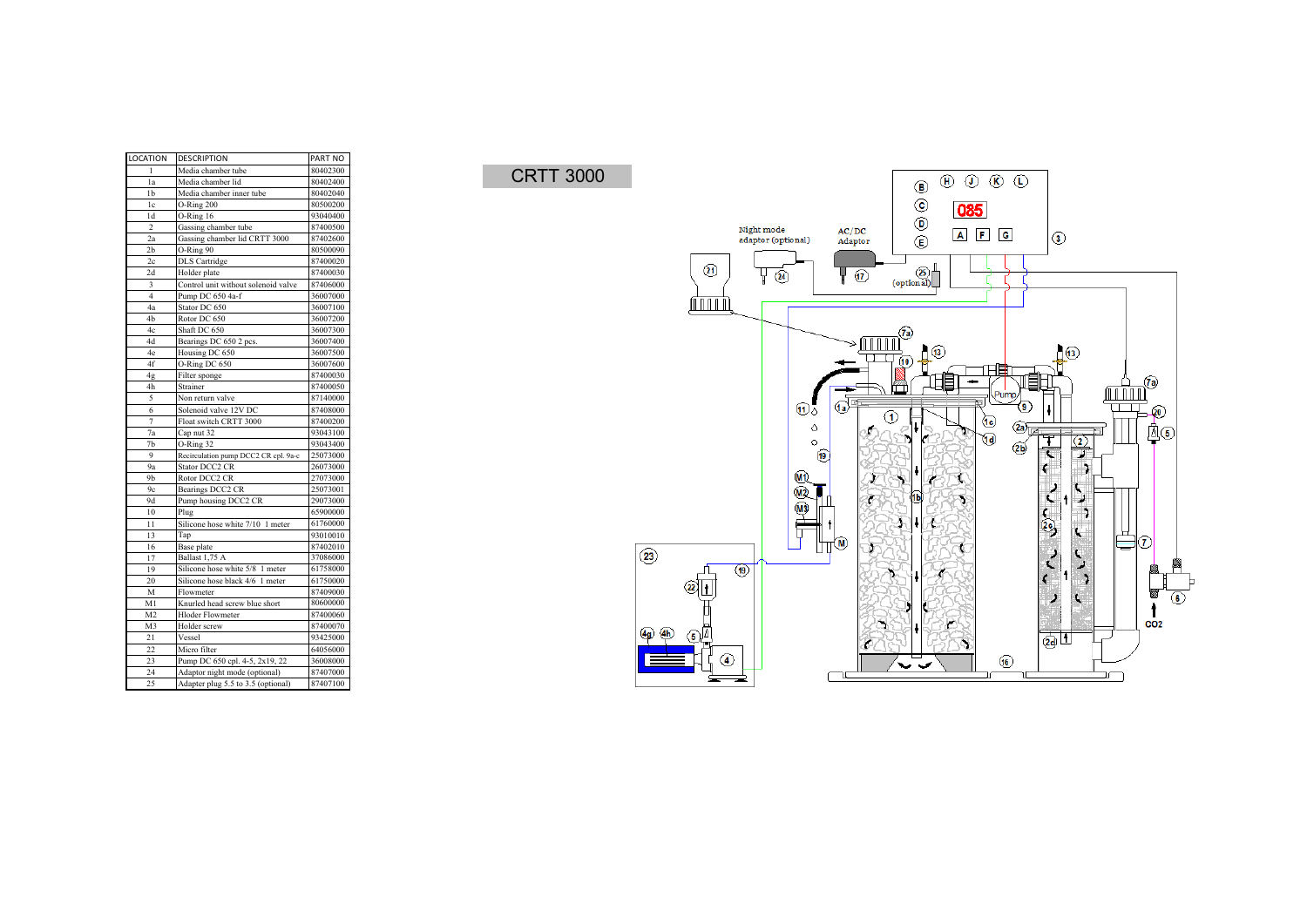| LOCATION       | <b>DESCRIPTION</b>                   | PART NO  |
|----------------|--------------------------------------|----------|
| 1              | Media chamber tube                   | 80402300 |
| 1a             | Media chamber lid                    | 80402400 |
| 1b             | Media chamber inner tube             | 80402040 |
| 1c             | O-Ring 200                           | 80500200 |
| 1d             | O-Ring 16                            | 93040400 |
| $\overline{c}$ | Gassing chamber tube                 | 87400500 |
| 2a             | Gassing chamber lid CRTT 3000        | 87402600 |
| 2 <sub>b</sub> | O-Ring 90                            | 80500090 |
| 2c             | <b>DLS</b> Cartridge                 | 87400020 |
| 2d             | Holder plate                         | 87400030 |
| 3              | Control unit without solenoid valve  | 87406000 |
| $\overline{4}$ | Pump DC 650 4a-f                     | 36007000 |
| 4a             | Stator DC 650                        | 36007100 |
| 4b             | Rotor DC 650                         | 36007200 |
| 4c             | Shaft DC 650                         | 36007300 |
| 4d             | Bearings DC 650 2 pcs.               | 36007400 |
| 4e             | Housing DC 650                       | 36007500 |
| 4f             | O-Ring DC 650                        | 36007600 |
| 4g             | Filter sponge                        | 87400030 |
| 4h             | Strainer                             | 87400050 |
| 5              | Non return valve                     | 87140000 |
| 6              | Solenoid valve 12V DC                | 87408000 |
| 7              | Float switch CRTT 3000               | 87400200 |
| 7a             | Cap nut 32                           | 93043100 |
| 7 <sub>b</sub> | O-Ring 32                            | 93043400 |
| 9              | Recirculation pump DCC2 CR cpl. 9a-c | 25073000 |
| 9a             | Stator DCC2 CR                       | 26073000 |
| 9 <sub>b</sub> | Rotor DCC2 CR                        | 27073000 |
| 9c             | Bearings DCC2 CR                     | 25073001 |
| 9d             | Pump housing DCC2 CR                 | 29073000 |
| 10             | Plug                                 | 65900000 |
| 11             | Silicone hose white 7/10 1 meter     | 61760000 |
| 13             | Tap                                  | 93010010 |
| 16             | Base plate                           | 87402010 |
| 17             | Ballast 1.75 A                       | 37086000 |
| 19             | Silicone hose white 5/8 1 meter      | 61758000 |
| 20             | Silicone hose black 4/6 1 meter      | 61750000 |
| M              | Flowmeter                            | 87409000 |
| M1             | Knurled head screw blue short        | 80600000 |
| M <sub>2</sub> | <b>Hloder Flowmeter</b>              | 87400060 |
| M3             | Holder screw                         | 87400070 |
| 21             | Vessel                               | 93425000 |
| 22             | Micro filter                         | 64056000 |
| 23             | Pump DC 650 cpl. 4-5, 2x19, 22       | 36008000 |
| 24             | Adaptor night mode (optional)        | 87407000 |
| 25             | Adapter plug 5.5 to 3.5 (optional)   | 87407100 |
|                |                                      |          |

CRTT 3000